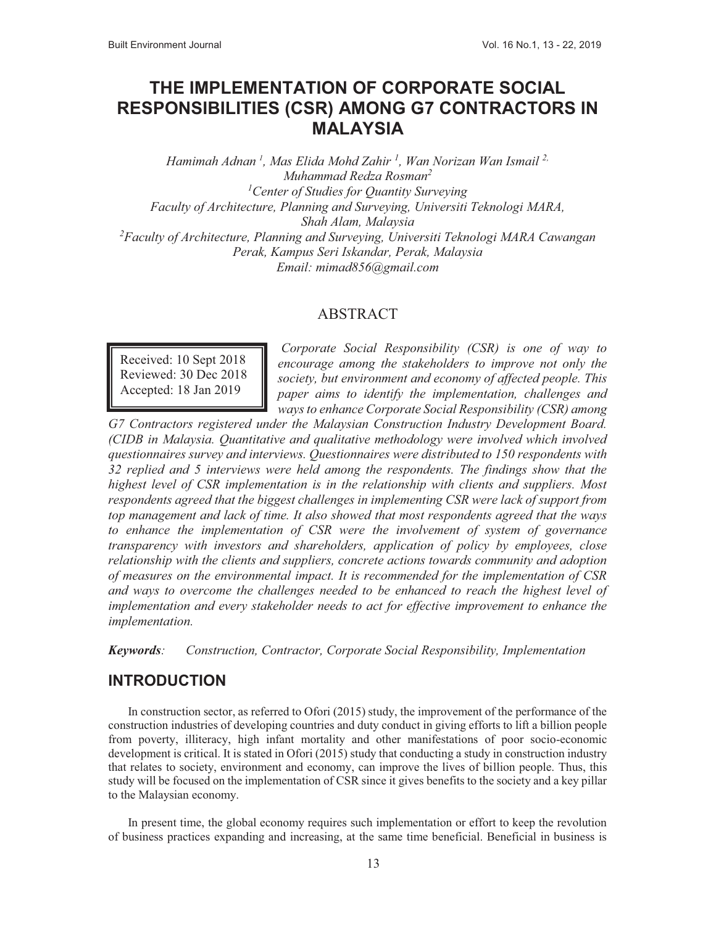# **THE IMPLEMENTATION OF CORPORATE SOCIAL RESPONSIBILITIES (CSR) AMONG G7 CONTRACTORS IN MALAYSIA**

*Hamimah Adnan <sup>1</sup> , Mas Elida Mohd Zahir <sup>1</sup> , Wan Norizan Wan Ismail 2, Muhammad Redza Rosman<sup>2</sup> 1 Center of Studies for Quantity Surveying Faculty of Architecture, Planning and Surveying, Universiti Teknologi MARA, Shah Alam, Malaysia 2 Faculty of Architecture, Planning and Surveying, Universiti Teknologi MARA Cawangan Perak, Kampus Seri Iskandar, Perak, Malaysia Email: mimad856@gmail.com* 

# ABSTRACT

Received: 10 Sept 2018 Reviewed: 30 Dec 2018 Accepted: 18 Jan 2019

 *Corporate Social Responsibility (CSR) is one of way to encourage among the stakeholders to improve not only the society, but environment and economy of affected people. This paper aims to identify the implementation, challenges and ways to enhance Corporate Social Responsibility (CSR) among* 

*G7 Contractors registered under the Malaysian Construction Industry Development Board. (CIDB in Malaysia. Quantitative and qualitative methodology were involved which involved questionnaires survey and interviews. Questionnaires were distributed to 150 respondents with 32 replied and 5 interviews were held among the respondents. The findings show that the highest level of CSR implementation is in the relationship with clients and suppliers. Most respondents agreed that the biggest challenges in implementing CSR were lack of support from top management and lack of time. It also showed that most respondents agreed that the ways to enhance the implementation of CSR were the involvement of system of governance transparency with investors and shareholders, application of policy by employees, close relationship with the clients and suppliers, concrete actions towards community and adoption of measures on the environmental impact. It is recommended for the implementation of CSR and ways to overcome the challenges needed to be enhanced to reach the highest level of implementation and every stakeholder needs to act for effective improvement to enhance the implementation.* 

*Keywords: Construction, Contractor, Corporate Social Responsibility, Implementation* 

# **INTRODUCTION**

In construction sector, as referred to Ofori (2015) study, the improvement of the performance of the construction industries of developing countries and duty conduct in giving efforts to lift a billion people from poverty, illiteracy, high infant mortality and other manifestations of poor socio-economic development is critical. It is stated in Ofori (2015) study that conducting a study in construction industry that relates to society, environment and economy, can improve the lives of billion people. Thus, this study will be focused on the implementation of CSR since it gives benefits to the society and a key pillar to the Malaysian economy.

In present time, the global economy requires such implementation or effort to keep the revolution of business practices expanding and increasing, at the same time beneficial. Beneficial in business is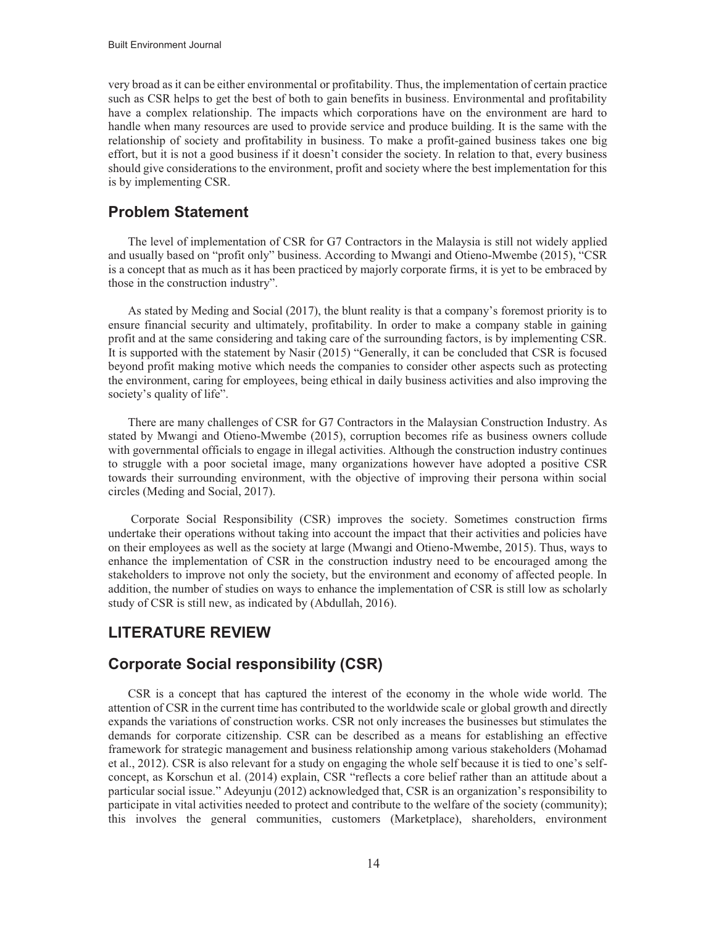very broad as it can be either environmental or profitability. Thus, the implementation of certain practice such as CSR helps to get the best of both to gain benefits in business. Environmental and profitability have a complex relationship. The impacts which corporations have on the environment are hard to handle when many resources are used to provide service and produce building. It is the same with the relationship of society and profitability in business. To make a profit-gained business takes one big effort, but it is not a good business if it doesn't consider the society. In relation to that, every business should give considerations to the environment, profit and society where the best implementation for this is by implementing CSR.

# **Problem Statement**

The level of implementation of CSR for G7 Contractors in the Malaysia is still not widely applied and usually based on "profit only" business. According to Mwangi and Otieno-Mwembe (2015), "CSR is a concept that as much as it has been practiced by majorly corporate firms, it is yet to be embraced by those in the construction industry".

As stated by Meding and Social (2017), the blunt reality is that a company's foremost priority is to ensure financial security and ultimately, profitability. In order to make a company stable in gaining profit and at the same considering and taking care of the surrounding factors, is by implementing CSR. It is supported with the statement by Nasir (2015) "Generally, it can be concluded that CSR is focused beyond profit making motive which needs the companies to consider other aspects such as protecting the environment, caring for employees, being ethical in daily business activities and also improving the society's quality of life".

There are many challenges of CSR for G7 Contractors in the Malaysian Construction Industry. As stated by Mwangi and Otieno-Mwembe (2015), corruption becomes rife as business owners collude with governmental officials to engage in illegal activities. Although the construction industry continues to struggle with a poor societal image, many organizations however have adopted a positive CSR towards their surrounding environment, with the objective of improving their persona within social circles (Meding and Social, 2017).

 Corporate Social Responsibility (CSR) improves the society. Sometimes construction firms undertake their operations without taking into account the impact that their activities and policies have on their employees as well as the society at large (Mwangi and Otieno-Mwembe, 2015). Thus, ways to enhance the implementation of CSR in the construction industry need to be encouraged among the stakeholders to improve not only the society, but the environment and economy of affected people. In addition, the number of studies on ways to enhance the implementation of CSR is still low as scholarly study of CSR is still new, as indicated by (Abdullah, 2016).

# **LITERATURE REVIEW**

### **Corporate Social responsibility (CSR)**

CSR is a concept that has captured the interest of the economy in the whole wide world. The attention of CSR in the current time has contributed to the worldwide scale or global growth and directly expands the variations of construction works. CSR not only increases the businesses but stimulates the demands for corporate citizenship. CSR can be described as a means for establishing an effective framework for strategic management and business relationship among various stakeholders (Mohamad et al., 2012). CSR is also relevant for a study on engaging the whole self because it is tied to one's selfconcept, as Korschun et al. (2014) explain, CSR "reflects a core belief rather than an attitude about a particular social issue." Adeyunju (2012) acknowledged that, CSR is an organization's responsibility to participate in vital activities needed to protect and contribute to the welfare of the society (community); this involves the general communities, customers (Marketplace), shareholders, environment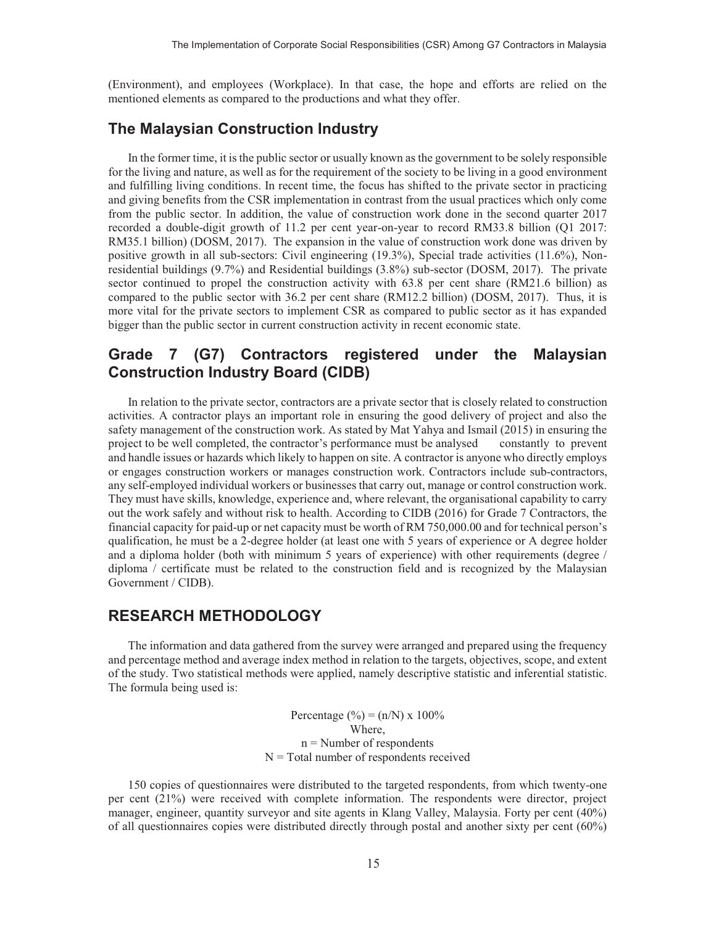(Environment), and employees (Workplace). In that case, the hope and efforts are relied on the mentioned elements as compared to the productions and what they offer.

# **The Malaysian Construction Industry**

In the former time, it is the public sector or usually known as the government to be solely responsible for the living and nature, as well as for the requirement of the society to be living in a good environment and fulfilling living conditions. In recent time, the focus has shifted to the private sector in practicing and giving benefits from the CSR implementation in contrast from the usual practices which only come from the public sector. In addition, the value of construction work done in the second quarter 2017 recorded a double-digit growth of 11.2 per cent year-on-year to record RM33.8 billion (Q1 2017: RM35.1 billion) (DOSM, 2017). The expansion in the value of construction work done was driven by positive growth in all sub-sectors: Civil engineering (19.3%), Special trade activities (11.6%), Nonresidential buildings (9.7%) and Residential buildings (3.8%) sub-sector (DOSM, 2017). The private sector continued to propel the construction activity with 63.8 per cent share (RM21.6 billion) as compared to the public sector with 36.2 per cent share (RM12.2 billion) (DOSM, 2017). Thus, it is more vital for the private sectors to implement CSR as compared to public sector as it has expanded bigger than the public sector in current construction activity in recent economic state.

# **Grade 7 (G7) Contractors registered under the Malaysian Construction Industry Board (CIDB)**

In relation to the private sector, contractors are a private sector that is closely related to construction activities. A contractor plays an important role in ensuring the good delivery of project and also the safety management of the construction work. As stated by Mat Yahya and Ismail (2015) in ensuring the project to be well completed, the contractor's performance must be analysed constantly to prevent and handle issues or hazards which likely to happen on site. A contractor is anyone who directly employs or engages construction workers or manages construction work. Contractors include sub-contractors, any self-employed individual workers or businesses that carry out, manage or control construction work. They must have skills, knowledge, experience and, where relevant, the organisational capability to carry out the work safely and without risk to health. According to CIDB (2016) for Grade 7 Contractors, the financial capacity for paid-up or net capacity must be worth of RM 750,000.00 and for technical person's qualification, he must be a 2-degree holder (at least one with 5 years of experience or A degree holder and a diploma holder (both with minimum 5 years of experience) with other requirements (degree / diploma / certificate must be related to the construction field and is recognized by the Malaysian Government / CIDB).

### **RESEARCH METHODOLOGY**

The information and data gathered from the survey were arranged and prepared using the frequency and percentage method and average index method in relation to the targets, objectives, scope, and extent of the study. Two statistical methods were applied, namely descriptive statistic and inferential statistic. The formula being used is:

> Percentage (%) =  $(n/N) \times 100\%$ Where,  $n =$  Number of respondents  $N = Total number of respondents received$

150 copies of questionnaires were distributed to the targeted respondents, from which twenty-one per cent (21%) were received with complete information. The respondents were director, project manager, engineer, quantity surveyor and site agents in Klang Valley, Malaysia. Forty per cent (40%) of all questionnaires copies were distributed directly through postal and another sixty per cent (60%)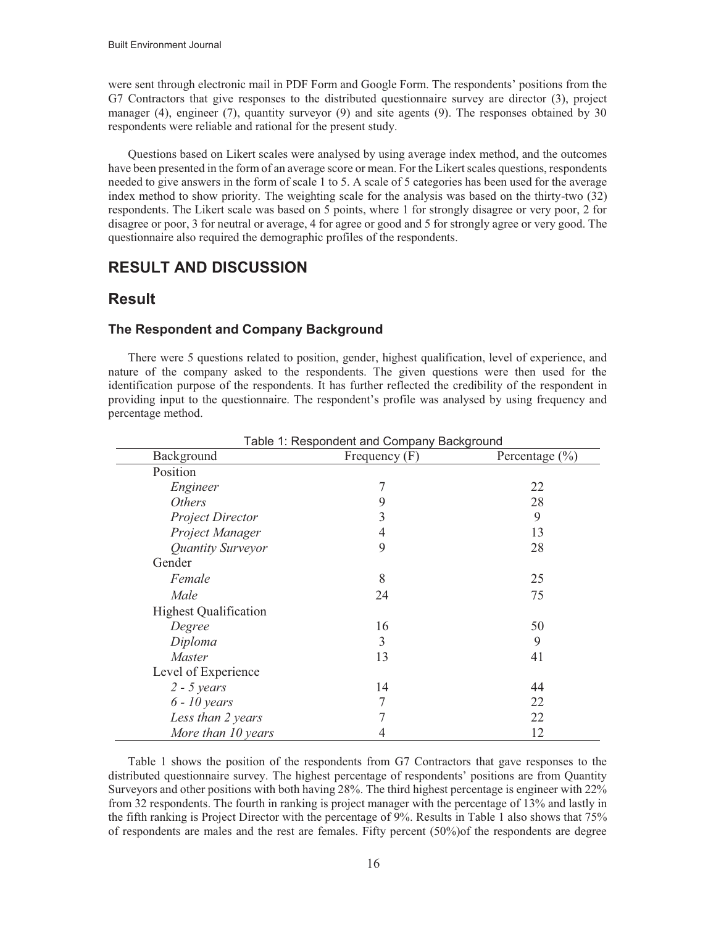were sent through electronic mail in PDF Form and Google Form. The respondents' positions from the G7 Contractors that give responses to the distributed questionnaire survey are director (3), project manager (4), engineer (7), quantity surveyor (9) and site agents (9). The responses obtained by 30 respondents were reliable and rational for the present study.

Questions based on Likert scales were analysed by using average index method, and the outcomes have been presented in the form of an average score or mean. For the Likert scales questions, respondents needed to give answers in the form of scale 1 to 5. A scale of 5 categories has been used for the average index method to show priority. The weighting scale for the analysis was based on the thirty-two (32) respondents. The Likert scale was based on 5 points, where 1 for strongly disagree or very poor, 2 for disagree or poor, 3 for neutral or average, 4 for agree or good and 5 for strongly agree or very good. The questionnaire also required the demographic profiles of the respondents.

# **RESULT AND DISCUSSION**

### **Result**

#### **The Respondent and Company Background**

There were 5 questions related to position, gender, highest qualification, level of experience, and nature of the company asked to the respondents. The given questions were then used for the identification purpose of the respondents. It has further reflected the credibility of the respondent in providing input to the questionnaire. The respondent's profile was analysed by using frequency and percentage method.

| Background                   | Frequency $(F)$ | Percentage $(\% )$ |
|------------------------------|-----------------|--------------------|
| Position                     |                 |                    |
| Engineer                     |                 | 22                 |
| <i><b>Others</b></i>         | 9               | 28                 |
| <b>Project Director</b>      | 3               | 9                  |
| Project Manager              | 4               | 13                 |
| Quantity Surveyor            | 9               | 28                 |
| Gender                       |                 |                    |
| Female                       | 8               | 25                 |
| Male                         | 24              | 75                 |
| <b>Highest Qualification</b> |                 |                    |
| Degree                       | 16              | 50                 |
| Diploma                      | 3               | 9                  |
| Master                       | 13              | 41                 |
| Level of Experience          |                 |                    |
| $2 - 5 \text{ years}$        | 14              | 44                 |
| $6 - 10$ years               | 7               | 22                 |
| Less than 2 years            |                 | 22                 |
| More than 10 years           |                 | 12                 |

Table 1: Respondent and Company Background

Table 1 shows the position of the respondents from G7 Contractors that gave responses to the distributed questionnaire survey. The highest percentage of respondents' positions are from Quantity Surveyors and other positions with both having 28%. The third highest percentage is engineer with 22% from 32 respondents. The fourth in ranking is project manager with the percentage of 13% and lastly in the fifth ranking is Project Director with the percentage of 9%. Results in Table 1 also shows that 75% of respondents are males and the rest are females. Fifty percent (50%)of the respondents are degree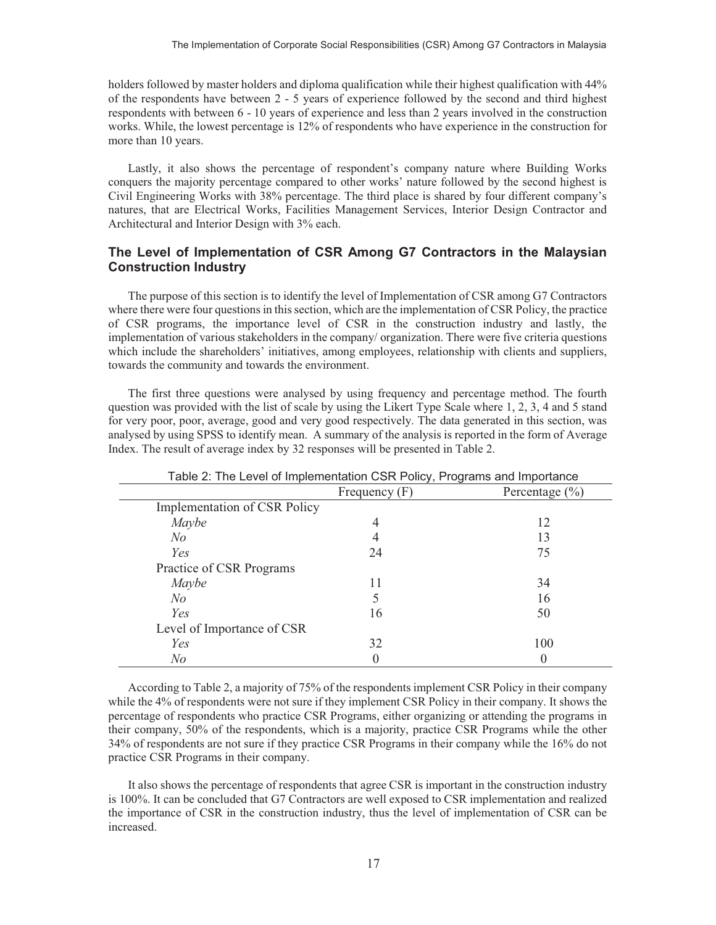holders followed by master holders and diploma qualification while their highest qualification with 44% of the respondents have between 2 - 5 years of experience followed by the second and third highest respondents with between 6 - 10 years of experience and less than 2 years involved in the construction works. While, the lowest percentage is 12% of respondents who have experience in the construction for more than 10 years.

Lastly, it also shows the percentage of respondent's company nature where Building Works conquers the majority percentage compared to other works' nature followed by the second highest is Civil Engineering Works with 38% percentage. The third place is shared by four different company's natures, that are Electrical Works, Facilities Management Services, Interior Design Contractor and Architectural and Interior Design with 3% each.

#### **The Level of Implementation of CSR Among G7 Contractors in the Malaysian Construction Industry**

The purpose of this section is to identify the level of Implementation of CSR among G7 Contractors where there were four questions in this section, which are the implementation of CSR Policy, the practice of CSR programs, the importance level of CSR in the construction industry and lastly, the implementation of various stakeholders in the company/ organization. There were five criteria questions which include the shareholders' initiatives, among employees, relationship with clients and suppliers, towards the community and towards the environment.

The first three questions were analysed by using frequency and percentage method. The fourth question was provided with the list of scale by using the Likert Type Scale where 1, 2, 3, 4 and 5 stand for very poor, poor, average, good and very good respectively. The data generated in this section, was analysed by using SPSS to identify mean. A summary of the analysis is reported in the form of Average Index. The result of average index by 32 responses will be presented in Table 2.

| Table 2: The Level of Implementation CSR Policy, Programs and Importance |                 |                    |  |  |  |  |
|--------------------------------------------------------------------------|-----------------|--------------------|--|--|--|--|
|                                                                          | Frequency $(F)$ | Percentage $(\% )$ |  |  |  |  |
| <b>Implementation of CSR Policy</b>                                      |                 |                    |  |  |  |  |
| Maybe                                                                    | 4               | 12                 |  |  |  |  |
| No                                                                       | 4               | 13                 |  |  |  |  |
| Yes                                                                      | 24              | 75                 |  |  |  |  |
| Practice of CSR Programs                                                 |                 |                    |  |  |  |  |
| Maybe                                                                    | 11              | 34                 |  |  |  |  |
| No                                                                       | 5               | 16                 |  |  |  |  |
| Yes                                                                      | 16              | 50                 |  |  |  |  |
| Level of Importance of CSR                                               |                 |                    |  |  |  |  |
| Yes                                                                      | 32              | 100                |  |  |  |  |
| No                                                                       |                 |                    |  |  |  |  |

According to Table 2, a majority of 75% of the respondents implement CSR Policy in their company while the 4% of respondents were not sure if they implement CSR Policy in their company. It shows the percentage of respondents who practice CSR Programs, either organizing or attending the programs in their company, 50% of the respondents, which is a majority, practice CSR Programs while the other 34% of respondents are not sure if they practice CSR Programs in their company while the 16% do not practice CSR Programs in their company.

It also shows the percentage of respondents that agree CSR is important in the construction industry is 100%. It can be concluded that G7 Contractors are well exposed to CSR implementation and realized the importance of CSR in the construction industry, thus the level of implementation of CSR can be increased.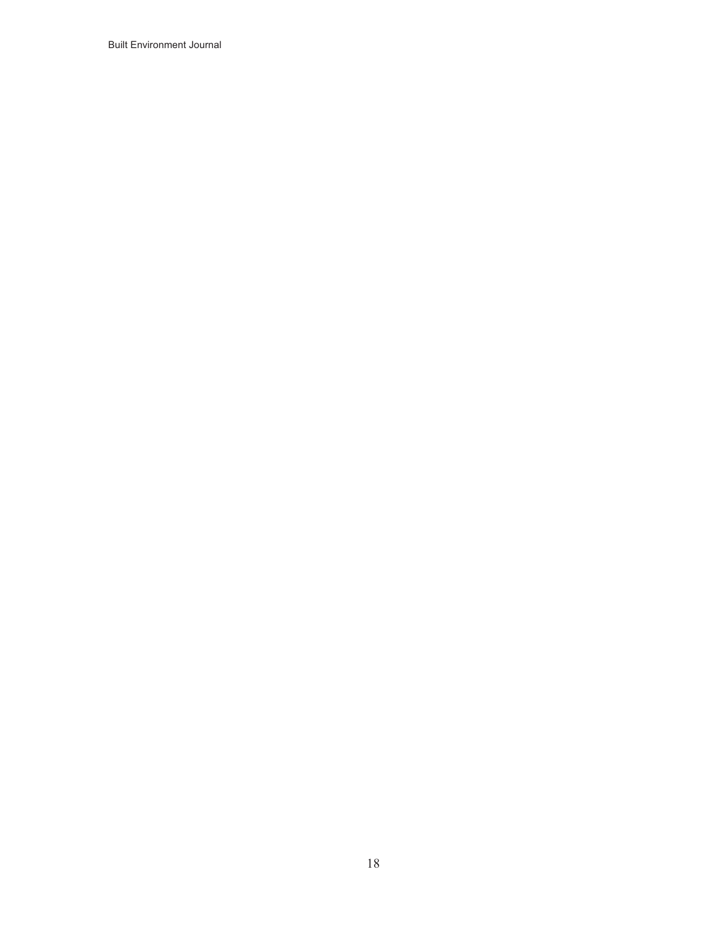Built Environment Journal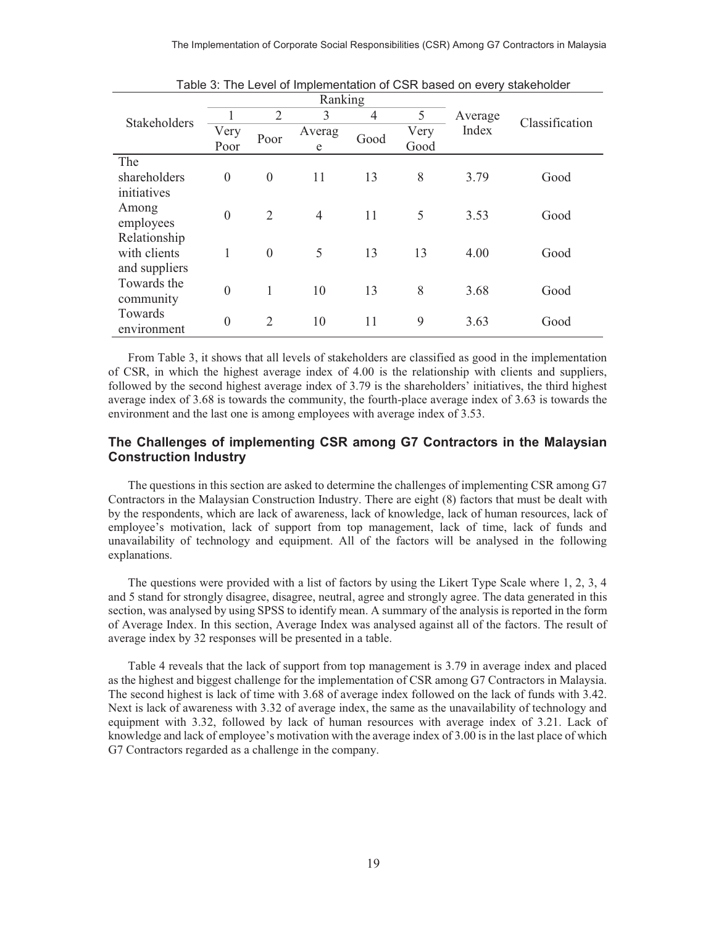|                                               | Ranking        |                |                |      |              |                |      |  |
|-----------------------------------------------|----------------|----------------|----------------|------|--------------|----------------|------|--|
| Stakeholders<br>Very<br>Poor                  | $\overline{2}$ | 3<br>4         |                | 5    | Average      | Classification |      |  |
|                                               |                | Poor           | Averag<br>e    | Good | Very<br>Good | Index          |      |  |
| The<br>shareholders<br>initiatives            | $\mathbf{0}$   | $\theta$       | 11             | 13   | 8            | 3.79           | Good |  |
| Among<br>employees                            | $\overline{0}$ | $\overline{2}$ | $\overline{4}$ | 11   | 5            | 3.53           | Good |  |
| Relationship<br>with clients<br>and suppliers | 1              | $\theta$       | 5              | 13   | 13           | 4.00           | Good |  |
| Towards the<br>community                      | $\mathbf{0}$   |                | 10             | 13   | 8            | 3.68           | Good |  |
| Towards<br>environment                        | $\mathbf{0}$   | 2              | 10             | 11   | 9            | 3.63           | Good |  |

Table 3: The Level of Implementation of CSR based on every stakeholder

From Table 3, it shows that all levels of stakeholders are classified as good in the implementation of CSR, in which the highest average index of 4.00 is the relationship with clients and suppliers, followed by the second highest average index of 3.79 is the shareholders' initiatives, the third highest average index of 3.68 is towards the community, the fourth-place average index of 3.63 is towards the environment and the last one is among employees with average index of 3.53.

#### **The Challenges of implementing CSR among G7 Contractors in the Malaysian Construction Industry**

The questions in this section are asked to determine the challenges of implementing CSR among G7 Contractors in the Malaysian Construction Industry. There are eight (8) factors that must be dealt with by the respondents, which are lack of awareness, lack of knowledge, lack of human resources, lack of employee's motivation, lack of support from top management, lack of time, lack of funds and unavailability of technology and equipment. All of the factors will be analysed in the following explanations.

The questions were provided with a list of factors by using the Likert Type Scale where 1, 2, 3, 4 and 5 stand for strongly disagree, disagree, neutral, agree and strongly agree. The data generated in this section, was analysed by using SPSS to identify mean. A summary of the analysis is reported in the form of Average Index. In this section, Average Index was analysed against all of the factors. The result of average index by 32 responses will be presented in a table.

Table 4 reveals that the lack of support from top management is 3.79 in average index and placed as the highest and biggest challenge for the implementation of CSR among G7 Contractors in Malaysia. The second highest is lack of time with 3.68 of average index followed on the lack of funds with 3.42. Next is lack of awareness with 3.32 of average index, the same as the unavailability of technology and equipment with 3.32, followed by lack of human resources with average index of 3.21. Lack of knowledge and lack of employee's motivation with the average index of 3.00 is in the last place of which G7 Contractors regarded as a challenge in the company.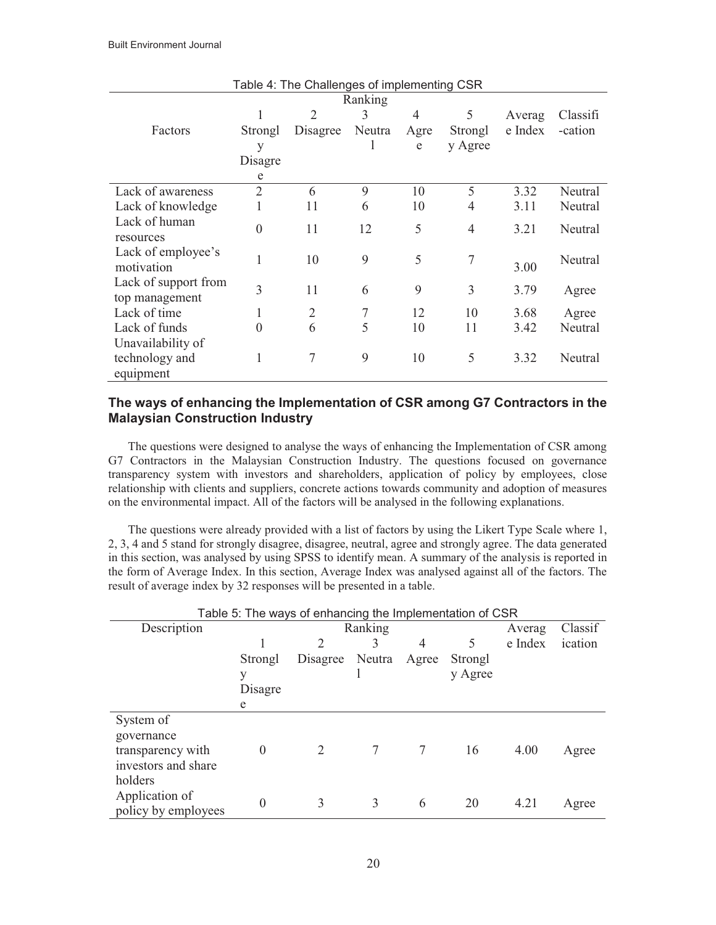| Table 4: The Challenges of implementing CSR |                  |                |        |                |         |         |          |
|---------------------------------------------|------------------|----------------|--------|----------------|---------|---------|----------|
| Ranking                                     |                  |                |        |                |         |         |          |
|                                             | 1                | $\overline{2}$ | 3      | $\overline{4}$ | 5       | Averag  | Classifi |
| Factors                                     | Strongl          | Disagree       | Neutra | Agre           | Strongl | e Index | -cation  |
|                                             | y                |                |        | e              | y Agree |         |          |
|                                             | Disagre          |                |        |                |         |         |          |
|                                             | e                |                |        |                |         |         |          |
| Lack of awareness                           | $\overline{2}$   | 6              | 9      | 10             | 5       | 3.32    | Neutral  |
| Lack of knowledge                           | 1                | 11             | 6      | 10             | 4       | 3.11    | Neutral  |
| Lack of human                               | $\boldsymbol{0}$ | 11             | 12     | 5              | 4       | 3.21    | Neutral  |
| resources                                   |                  |                |        |                |         |         |          |
| Lack of employee's                          | 1                | 10             | 9      | 5              | 7       |         | Neutral  |
| motivation                                  |                  |                |        |                |         | 3.00    |          |
| Lack of support from                        | 3                | 11             | 6      | 9              | 3       | 3.79    | Agree    |
| top management                              |                  |                |        |                |         |         |          |
| Lack of time                                | 1                | $\overline{2}$ | 7      | 12             | 10      | 3.68    | Agree    |
| Lack of funds                               | $\mathbf{0}$     | 6              | 5      | 10             | 11      | 3.42    | Neutral  |
| Unavailability of                           |                  |                |        |                |         |         |          |
| technology and                              | 1                | 7              | 9      | 10             | 5       | 3.32    | Neutral  |
| equipment                                   |                  |                |        |                |         |         |          |

### **The ways of enhancing the Implementation of CSR among G7 Contractors in the Malaysian Construction Industry**

The questions were designed to analyse the ways of enhancing the Implementation of CSR among G7 Contractors in the Malaysian Construction Industry. The questions focused on governance transparency system with investors and shareholders, application of policy by employees, close relationship with clients and suppliers, concrete actions towards community and adoption of measures on the environmental impact. All of the factors will be analysed in the following explanations.

The questions were already provided with a list of factors by using the Likert Type Scale where 1, 2, 3, 4 and 5 stand for strongly disagree, disagree, neutral, agree and strongly agree. The data generated in this section, was analysed by using SPSS to identify mean. A summary of the analysis is reported in the form of Average Index. In this section, Average Index was analysed against all of the factors. The result of average index by 32 responses will be presented in a table.

| Table 5: The ways of enhancing the Implementation of CSR |                   |          |        |       |         |         |         |
|----------------------------------------------------------|-------------------|----------|--------|-------|---------|---------|---------|
| Description                                              | Ranking<br>Averag |          |        |       |         |         | Classif |
|                                                          |                   | 2        | 3      | 4     | 5       | e Index | ication |
|                                                          | Strongl           | Disagree | Neutra | Agree | Strongl |         |         |
|                                                          | у                 |          |        |       | y Agree |         |         |
|                                                          | Disagre           |          |        |       |         |         |         |
|                                                          | e                 |          |        |       |         |         |         |
| System of                                                |                   |          |        |       |         |         |         |
| governance                                               |                   |          |        |       |         |         |         |
| transparency with                                        | $\theta$          | 2        | 7      | 7     | 16      | 4.00    | Agree   |
| investors and share                                      |                   |          |        |       |         |         |         |
| holders                                                  |                   |          |        |       |         |         |         |
| Application of                                           |                   |          | 3      |       |         |         |         |
| policy by employees                                      | $\theta$          | 3        |        | 6     | 20      | 4.21    | Agree   |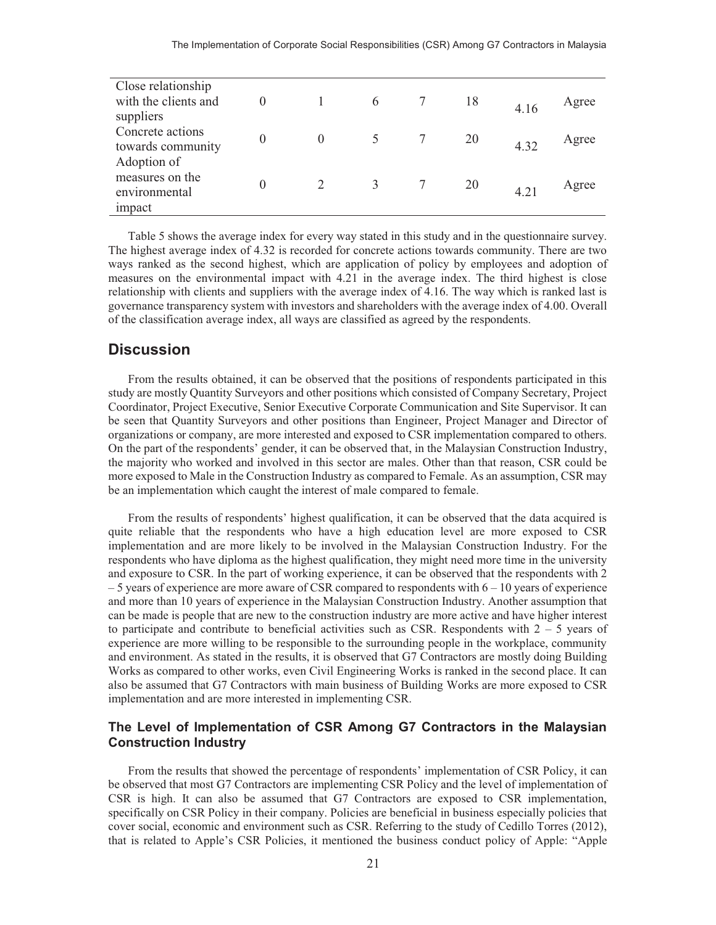| Close relationship   |   |          |   |    |      |       |
|----------------------|---|----------|---|----|------|-------|
| with the clients and |   |          | 6 | 18 | 4.16 | Agree |
| suppliers            |   |          |   |    |      |       |
| Concrete actions     | 0 | $\theta$ |   | 20 |      |       |
| towards community    |   |          |   |    | 4.32 | Agree |
| Adoption of          |   |          |   |    |      |       |
| measures on the      |   |          |   |    |      |       |
| environmental        |   |          |   | 20 | 4.21 | Agree |
| impact               |   |          |   |    |      |       |

Table 5 shows the average index for every way stated in this study and in the questionnaire survey. The highest average index of 4.32 is recorded for concrete actions towards community. There are two ways ranked as the second highest, which are application of policy by employees and adoption of measures on the environmental impact with 4.21 in the average index. The third highest is close relationship with clients and suppliers with the average index of 4.16. The way which is ranked last is governance transparency system with investors and shareholders with the average index of 4.00. Overall of the classification average index, all ways are classified as agreed by the respondents.

### **Discussion**

From the results obtained, it can be observed that the positions of respondents participated in this study are mostly Quantity Surveyors and other positions which consisted of Company Secretary, Project Coordinator, Project Executive, Senior Executive Corporate Communication and Site Supervisor. It can be seen that Quantity Surveyors and other positions than Engineer, Project Manager and Director of organizations or company, are more interested and exposed to CSR implementation compared to others. On the part of the respondents' gender, it can be observed that, in the Malaysian Construction Industry, the majority who worked and involved in this sector are males. Other than that reason, CSR could be more exposed to Male in the Construction Industry as compared to Female. As an assumption, CSR may be an implementation which caught the interest of male compared to female.

From the results of respondents' highest qualification, it can be observed that the data acquired is quite reliable that the respondents who have a high education level are more exposed to CSR implementation and are more likely to be involved in the Malaysian Construction Industry. For the respondents who have diploma as the highest qualification, they might need more time in the university and exposure to CSR. In the part of working experience, it can be observed that the respondents with 2  $-5$  years of experience are more aware of CSR compared to respondents with  $6 - 10$  years of experience and more than 10 years of experience in the Malaysian Construction Industry. Another assumption that can be made is people that are new to the construction industry are more active and have higher interest to participate and contribute to beneficial activities such as CSR. Respondents with  $2 - 5$  years of experience are more willing to be responsible to the surrounding people in the workplace, community and environment. As stated in the results, it is observed that G7 Contractors are mostly doing Building Works as compared to other works, even Civil Engineering Works is ranked in the second place. It can also be assumed that G7 Contractors with main business of Building Works are more exposed to CSR implementation and are more interested in implementing CSR.

#### **The Level of Implementation of CSR Among G7 Contractors in the Malaysian Construction Industry**

From the results that showed the percentage of respondents' implementation of CSR Policy, it can be observed that most G7 Contractors are implementing CSR Policy and the level of implementation of CSR is high. It can also be assumed that G7 Contractors are exposed to CSR implementation, specifically on CSR Policy in their company. Policies are beneficial in business especially policies that cover social, economic and environment such as CSR. Referring to the study of Cedillo Torres (2012), that is related to Apple's CSR Policies, it mentioned the business conduct policy of Apple: "Apple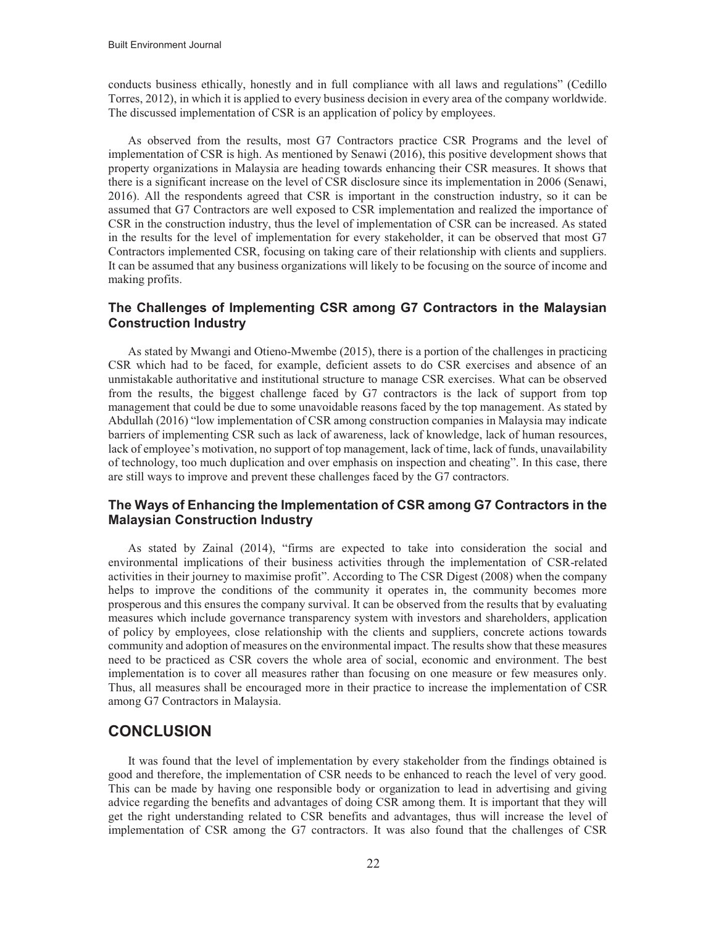conducts business ethically, honestly and in full compliance with all laws and regulations" (Cedillo Torres, 2012), in which it is applied to every business decision in every area of the company worldwide. The discussed implementation of CSR is an application of policy by employees.

As observed from the results, most G7 Contractors practice CSR Programs and the level of implementation of CSR is high. As mentioned by Senawi (2016), this positive development shows that property organizations in Malaysia are heading towards enhancing their CSR measures. It shows that there is a significant increase on the level of CSR disclosure since its implementation in 2006 (Senawi, 2016). All the respondents agreed that CSR is important in the construction industry, so it can be assumed that G7 Contractors are well exposed to CSR implementation and realized the importance of CSR in the construction industry, thus the level of implementation of CSR can be increased. As stated in the results for the level of implementation for every stakeholder, it can be observed that most G7 Contractors implemented CSR, focusing on taking care of their relationship with clients and suppliers. It can be assumed that any business organizations will likely to be focusing on the source of income and making profits.

#### **The Challenges of Implementing CSR among G7 Contractors in the Malaysian Construction Industry**

As stated by Mwangi and Otieno-Mwembe (2015), there is a portion of the challenges in practicing CSR which had to be faced, for example, deficient assets to do CSR exercises and absence of an unmistakable authoritative and institutional structure to manage CSR exercises. What can be observed from the results, the biggest challenge faced by G7 contractors is the lack of support from top management that could be due to some unavoidable reasons faced by the top management. As stated by Abdullah (2016) "low implementation of CSR among construction companies in Malaysia may indicate barriers of implementing CSR such as lack of awareness, lack of knowledge, lack of human resources, lack of employee's motivation, no support of top management, lack of time, lack of funds, unavailability of technology, too much duplication and over emphasis on inspection and cheating". In this case, there are still ways to improve and prevent these challenges faced by the G7 contractors.

#### **The Ways of Enhancing the Implementation of CSR among G7 Contractors in the Malaysian Construction Industry**

As stated by Zainal (2014), "firms are expected to take into consideration the social and environmental implications of their business activities through the implementation of CSR-related activities in their journey to maximise profit". According to The CSR Digest (2008) when the company helps to improve the conditions of the community it operates in, the community becomes more prosperous and this ensures the company survival. It can be observed from the results that by evaluating measures which include governance transparency system with investors and shareholders, application of policy by employees, close relationship with the clients and suppliers, concrete actions towards community and adoption of measures on the environmental impact. The results show that these measures need to be practiced as CSR covers the whole area of social, economic and environment. The best implementation is to cover all measures rather than focusing on one measure or few measures only. Thus, all measures shall be encouraged more in their practice to increase the implementation of CSR among G7 Contractors in Malaysia.

# **CONCLUSION**

It was found that the level of implementation by every stakeholder from the findings obtained is good and therefore, the implementation of CSR needs to be enhanced to reach the level of very good. This can be made by having one responsible body or organization to lead in advertising and giving advice regarding the benefits and advantages of doing CSR among them. It is important that they will get the right understanding related to CSR benefits and advantages, thus will increase the level of implementation of CSR among the G7 contractors. It was also found that the challenges of CSR